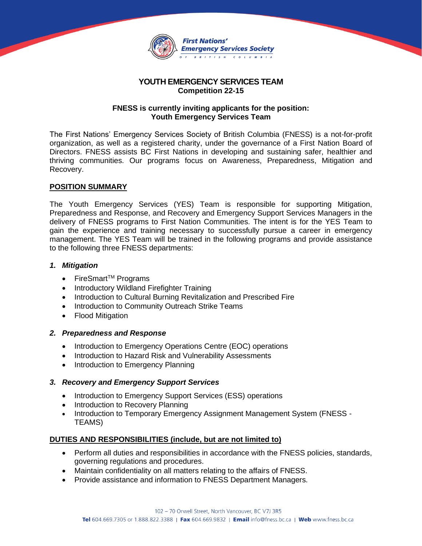

### **YOUTH EMERGENCY SERVICES TEAM Competition 22-15**

#### **FNESS is currently inviting applicants for the position: Youth Emergency Services Team**

The First Nations' Emergency Services Society of British Columbia (FNESS) is a not-for-profit organization, as well as a registered charity, under the governance of a First Nation Board of Directors. FNESS assists BC First Nations in developing and sustaining safer, healthier and thriving communities. Our programs focus on Awareness, Preparedness, Mitigation and Recovery.

#### **POSITION SUMMARY**

The Youth Emergency Services (YES) Team is responsible for supporting Mitigation, Preparedness and Response, and Recovery and Emergency Support Services Managers in the delivery of FNESS programs to First Nation Communities. The intent is for the YES Team to gain the experience and training necessary to successfully pursue a career in emergency management. The YES Team will be trained in the following programs and provide assistance to the following three FNESS departments:

## *1. Mitigation*

- FireSmart<sup>™</sup> Programs
- Introductory Wildland Firefighter Training
- Introduction to Cultural Burning Revitalization and Prescribed Fire
- Introduction to Community Outreach Strike Teams
- Flood Mitigation

#### *2. Preparedness and Response*

- Introduction to Emergency Operations Centre (EOC) operations
- Introduction to Hazard Risk and Vulnerability Assessments
- Introduction to Emergency Planning

#### *3. Recovery and Emergency Support Services*

- Introduction to Emergency Support Services (ESS) operations
- Introduction to Recovery Planning
- Introduction to Temporary Emergency Assignment Management System (FNESS TEAMS)

#### **DUTIES AND RESPONSIBILITIES (include, but are not limited to)**

- Perform all duties and responsibilities in accordance with the FNESS policies, standards, governing regulations and procedures.
- Maintain confidentiality on all matters relating to the affairs of FNESS.
- Provide assistance and information to FNESS Department Managers.